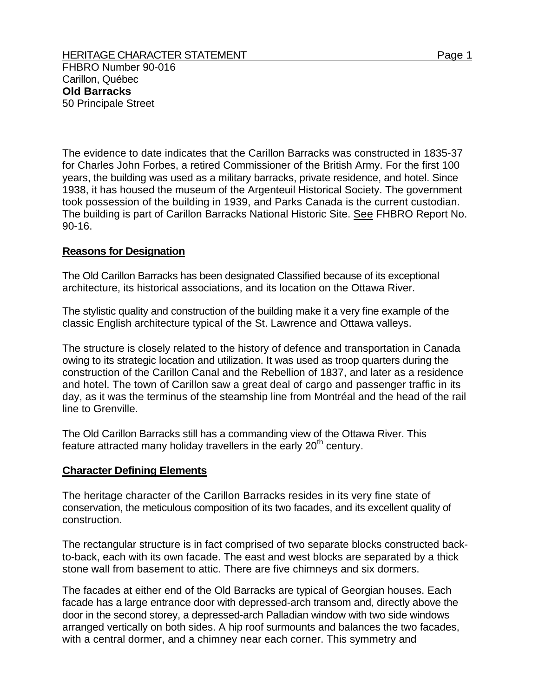The evidence to date indicates that the Carillon Barracks was constructed in 1835-37 for Charles John Forbes, a retired Commissioner of the British Army. For the first 100 years, the building was used as a military barracks, private residence, and hotel. Since 1938, it has housed the museum of the Argenteuil Historical Society. The government took possession of the building in 1939, and Parks Canada is the current custodian. The building is part of Carillon Barracks National Historic Site. See FHBRO Report No. 90-16.

## **Reasons for Designation**

The Old Carillon Barracks has been designated Classified because of its exceptional architecture, its historical associations, and its location on the Ottawa River.

The stylistic quality and construction of the building make it a very fine example of the classic English architecture typical of the St. Lawrence and Ottawa valleys.

The structure is closely related to the history of defence and transportation in Canada owing to its strategic location and utilization. It was used as troop quarters during the construction of the Carillon Canal and the Rebellion of 1837, and later as a residence and hotel. The town of Carillon saw a great deal of cargo and passenger traffic in its day, as it was the terminus of the steamship line from Montréal and the head of the rail line to Grenville.

The Old Carillon Barracks still has a commanding view of the Ottawa River. This feature attracted many holiday travellers in the early  $20<sup>th</sup>$  century.

## **Character Defining Elements**

The heritage character of the Carillon Barracks resides in its very fine state of conservation, the meticulous composition of its two facades, and its excellent quality of construction.

The rectangular structure is in fact comprised of two separate blocks constructed backto-back, each with its own facade. The east and west blocks are separated by a thick stone wall from basement to attic. There are five chimneys and six dormers.

The facades at either end of the Old Barracks are typical of Georgian houses. Each facade has a large entrance door with depressed-arch transom and, directly above the door in the second storey, a depressed-arch Palladian window with two side windows arranged vertically on both sides. A hip roof surmounts and balances the two facades, with a central dormer, and a chimney near each corner. This symmetry and